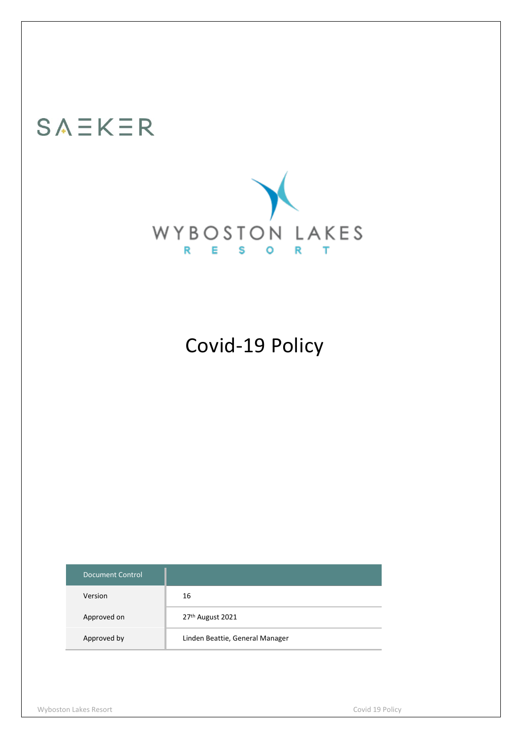# SAEKER



## Covid-19 Policy

| <b>Document Control</b> |                                 |
|-------------------------|---------------------------------|
| Version                 | 16                              |
| Approved on             | 27th August 2021                |
| Approved by             | Linden Beattie, General Manager |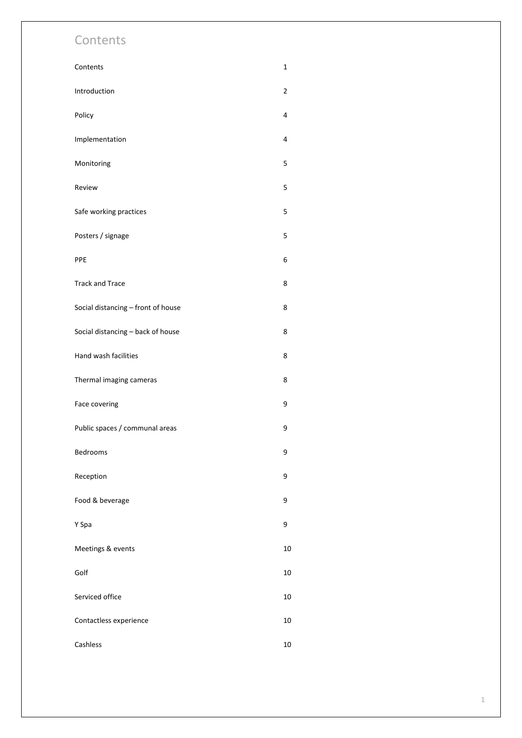### Contents

| Contents                           | 1              |
|------------------------------------|----------------|
| Introduction                       | $\overline{2}$ |
| Policy                             | 4              |
| Implementation                     | 4              |
| Monitoring                         | 5              |
| Review                             | 5              |
| Safe working practices             | 5              |
| Posters / signage                  | 5              |
| PPE                                | 6              |
| <b>Track and Trace</b>             | 8              |
| Social distancing - front of house | 8              |
| Social distancing - back of house  | 8              |
| Hand wash facilities               | 8              |
| Thermal imaging cameras            | 8              |
| Face covering                      | 9              |
| Public spaces / communal areas     | 9              |
| Bedrooms                           | 9              |
| Reception                          | 9              |
| Food & beverage                    | 9              |
| Y Spa                              | 9              |
| Meetings & events                  | 10             |
| Golf                               | 10             |
| Serviced office                    | 10             |
| Contactless experience             |                |
| Cashless                           | 10             |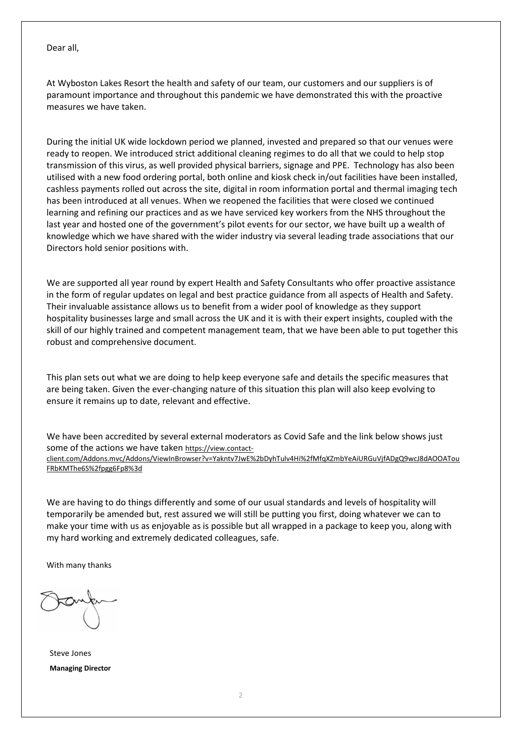Dear all,

At Wyboston Lakes Resort the health and safety of our team, our customers and our suppliers is of paramount importance and throughout this pandemic we have demonstrated this with the proactive measures we have taken.

During the initial UK wide lockdown period we planned, invested and prepared so that our venues were ready to reopen. We introduced strict additional cleaning regimes to do all that we could to help stop transmission of this virus, as well provided physical barriers, signage and PPE. Technology has also been utilised with a new food ordering portal, both online and kiosk check in/out facilities have been installed, cashless payments rolled out across the site, digital in room information portal and thermal imaging tech has been introduced at all venues. When we reopened the facilities that were closed we continued learning and refining our practices and as we have serviced key workers from the NHS throughout the last year and hosted one of the government's pilot events for our sector, we have built up a wealth of knowledge which we have shared with the wider industry via several leading trade associations that our Directors hold senior positions with.

We are supported all year round by expert Health and Safety Consultants who offer proactive assistance in the form of regular updates on legal and best practice guidance from all aspects of Health and Safety. Their invaluable assistance allows us to benefit from a wider pool of knowledge as they support hospitality businesses large and small across the UK and it is with their expert insights, coupled with the skill of our highly trained and competent management team, that we have been able to put together this robust and comprehensive document.

This plan sets out what we are doing to help keep everyone safe and details the specific measures that are being taken. Given the ever-changing nature of this situation this plan will also keep evolving to ensure it remains up to date, relevant and effective.

We have been accredited by several external moderators as Covid Safe and the link below shows just some of the actions we have taken [https://view.contact](https://view.contact-client.com/Addons.mvc/Addons/ViewInBrowser?v=Yakntv7JwE%2bDyhTulv4Hi%2fMfqXZmbYeAiURGuVjfADgQ9wcJ8dAOOATouFRbKMThe6S%2fpgg6Fp8%3d)[client.com/Addons.mvc/Addons/ViewInBrowser?v=Yakntv7JwE%2bDyhTulv4Hi%2fMfqXZmbYeAiURGuVjfADgQ9wcJ8dAOOATou](https://view.contact-client.com/Addons.mvc/Addons/ViewInBrowser?v=Yakntv7JwE%2bDyhTulv4Hi%2fMfqXZmbYeAiURGuVjfADgQ9wcJ8dAOOATouFRbKMThe6S%2fpgg6Fp8%3d) [FRbKMThe6S%2fpgg6Fp8%3d](https://view.contact-client.com/Addons.mvc/Addons/ViewInBrowser?v=Yakntv7JwE%2bDyhTulv4Hi%2fMfqXZmbYeAiURGuVjfADgQ9wcJ8dAOOATouFRbKMThe6S%2fpgg6Fp8%3d)

We are having to do things differently and some of our usual standards and levels of hospitality will temporarily be amended but, rest assured we will still be putting you first, doing whatever we can to make your time with us as enjoyable as is possible but all wrapped in a package to keep you, along with my hard working and extremely dedicated colleagues, safe.

With many thanks

Steve Jones **Managing Director**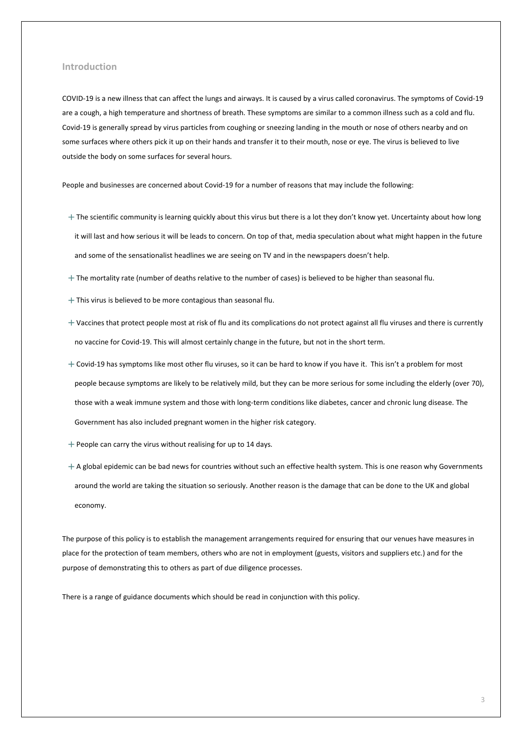#### **Introduction**

COVID-19 is a new illness that can affect the lungs and airways. It is caused by a virus called coronavirus. The symptoms of Covid-19 are a cough, a high temperature and shortness of breath. These symptoms are similar to a common illness such as a cold and flu. Covid-19 is generally spread by virus particles from coughing or sneezing landing in the mouth or nose of others nearby and on some surfaces where others pick it up on their hands and transfer it to their mouth, nose or eye. The virus is believed to live outside the body on some surfaces for several hours.

People and businesses are concerned about Covid-19 for a number of reasons that may include the following:

- + The scientific community is learning quickly about this virus but there is a lot they don't know yet. Uncertainty about how long it will last and how serious it will be leads to concern. On top of that, media speculation about what might happen in the future and some of the sensationalist headlines we are seeing on TV and in the newspapers doesn't help.
- $+$  The mortality rate (number of deaths relative to the number of cases) is believed to be higher than seasonal flu.
- $+$  This virus is believed to be more contagious than seasonal flu.
- + Vaccines that protect people most at risk of flu and its complications do not protect against all flu viruses and there is currently no vaccine for Covid-19. This will almost certainly change in the future, but not in the short term.
- $+$  Covid-19 has symptoms like most other flu viruses, so it can be hard to know if you have it. This isn't a problem for most people because symptoms are likely to be relatively mild, but they can be more serious for some including the elderly (over 70), those with a weak immune system and those with long-term conditions like diabetes, cancer and chronic lung disease. The Government has also included pregnant women in the higher risk category.
- $+$  People can carry the virus without realising for up to 14 days.
- $+$  A global epidemic can be bad news for countries without such an effective health system. This is one reason why Governments around the world are taking the situation so seriously. Another reason is the damage that can be done to the UK and global economy.

The purpose of this policy is to establish the management arrangements required for ensuring that our venues have measures in place for the protection of team members, others who are not in employment (guests, visitors and suppliers etc.) and for the purpose of demonstrating this to others as part of due diligence processes.

There is a range of guidance documents which should be read in conjunction with this policy.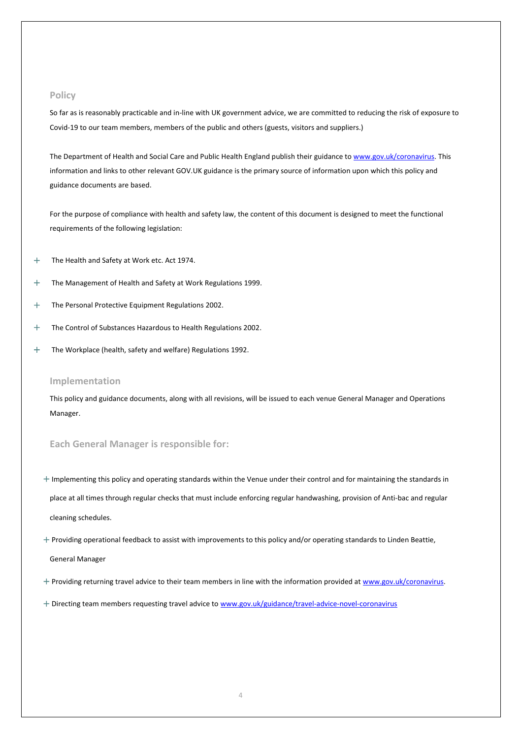#### **Policy**

So far as is reasonably practicable and in-line with UK government advice, we are committed to reducing the risk of exposure to Covid-19 to our team members, members of the public and others (guests, visitors and suppliers.)

The Department of Health and Social Care and Public Health England publish their guidance to [www.gov.uk/coronavirus.](http://www.gov.uk/coronavirus) This information and links to other relevant GOV.UK guidance is the primary source of information upon which this policy and guidance documents are based.

For the purpose of compliance with health and safety law, the content of this document is designed to meet the functional requirements of the following legislation:

- + The Health and Safety at Work etc. Act 1974.
- + The Management of Health and Safety at Work Regulations 1999.
- + The Personal Protective Equipment Regulations 2002.
- + The Control of Substances Hazardous to Health Regulations 2002.
- + The Workplace (health, safety and welfare) Regulations 1992.

#### **Implementation**

This policy and guidance documents, along with all revisions, will be issued to each venue General Manager and Operations Manager.

#### **Each General Manager is responsible for:**

- $+$  Implementing this policy and operating standards within the Venue under their control and for maintaining the standards in place at all times through regular checks that must include enforcing regular handwashing, provision of Anti-bac and regular cleaning schedules.
- $+$  Providing operational feedback to assist with improvements to this policy and/or operating standards to Linden Beattie,

General Manager

- + Providing returning travel advice to their team members in line with the information provided a[t www.gov.uk/coronavirus.](http://www.gov.uk/coronavirus)
- + Directing team members requesting travel advice t[o www.gov.uk/guidance/travel-advice-novel-coronavirus](http://www.gov.uk/guidance/travel-advice-novel-coronavirus)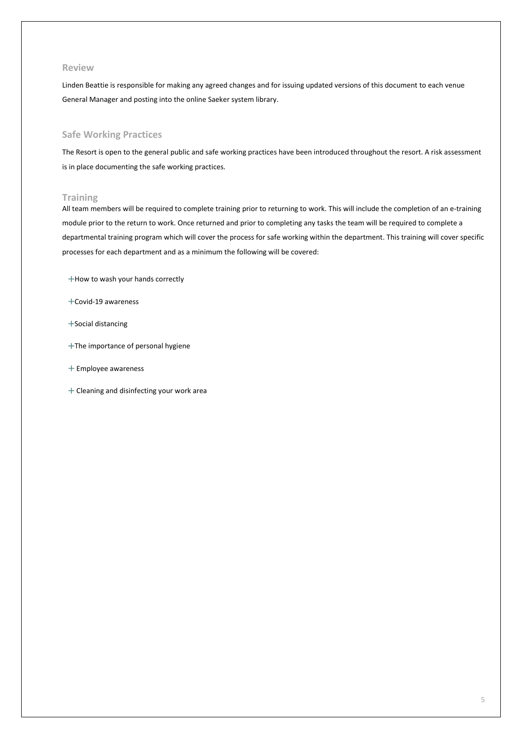#### **Review**

Linden Beattie is responsible for making any agreed changes and for issuing updated versions of this document to each venue General Manager and posting into the online Saeker system library.

#### **Safe Working Practices**

The Resort is open to the general public and safe working practices have been introduced throughout the resort. A risk assessment is in place documenting the safe working practices.

#### **Training**

All team members will be required to complete training prior to returning to work. This will include the completion of an e-training module prior to the return to work. Once returned and prior to completing any tasks the team will be required to complete a departmental training program which will cover the process for safe working within the department. This training will cover specific processes for each department and as a minimum the following will be covered:

- +How to wash your hands correctly
- +Covid-19 awareness
- +Social distancing
- +The importance of personal hygiene
- + Employee awareness
- + Cleaning and disinfecting your work area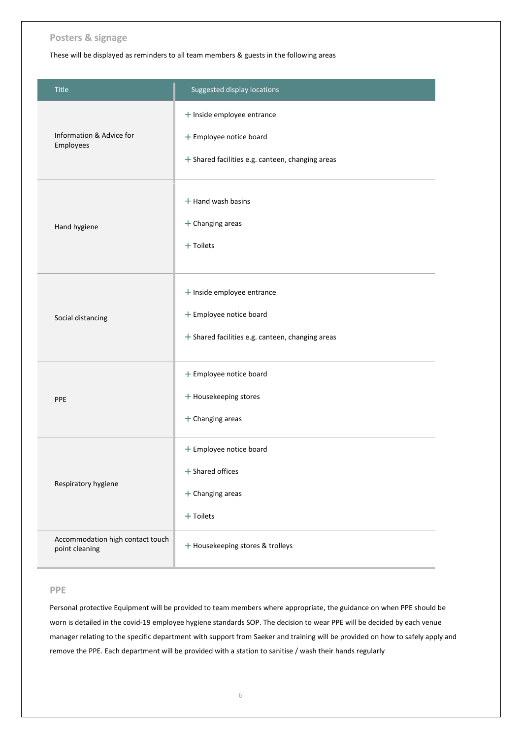#### **Posters & signage**

These will be displayed as reminders to all team members & guests in the following areas

| <b>Title</b>                                       | Suggested display locations                                                                               |
|----------------------------------------------------|-----------------------------------------------------------------------------------------------------------|
| Information & Advice for<br>Employees              | + Inside employee entrance<br>+ Employee notice board<br>+ Shared facilities e.g. canteen, changing areas |
| Hand hygiene                                       | $+$ Hand wash basins<br>$+$ Changing areas<br>$+$ Toilets                                                 |
| Social distancing                                  | + Inside employee entrance<br>+ Employee notice board<br>+ Shared facilities e.g. canteen, changing areas |
| PPE                                                | + Employee notice board<br>+ Housekeeping stores<br>$+$ Changing areas                                    |
| Respiratory hygiene                                | + Employee notice board<br>$+$ Shared offices<br>$+$ Changing areas<br>$+$ Toilets                        |
| Accommodation high contact touch<br>point cleaning | + Housekeeping stores & trolleys                                                                          |

#### **PPE**

Personal protective Equipment will be provided to team members where appropriate, the guidance on when PPE should be worn is detailed in the covid-19 employee hygiene standards SOP. The decision to wear PPE will be decided by each venue manager relating to the specific department with support from Saeker and training will be provided on how to safely apply and remove the PPE. Each department will be provided with a station to sanitise / wash their hands regularly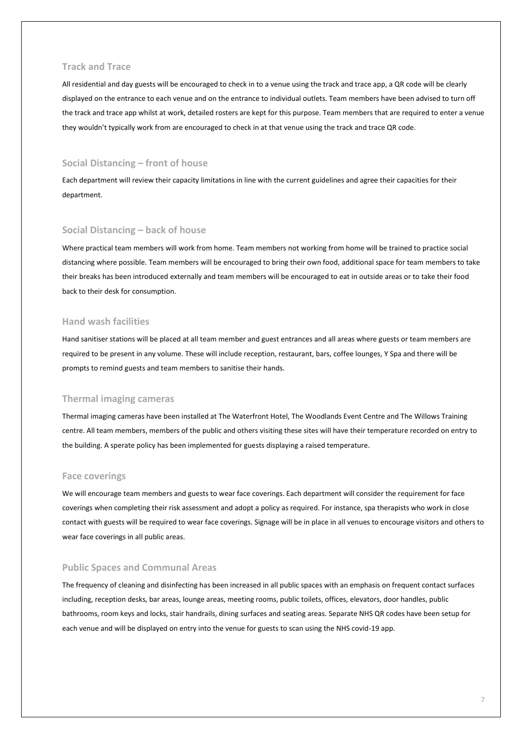#### **Track and Trace**

All residential and day guests will be encouraged to check in to a venue using the track and trace app, a QR code will be clearly displayed on the entrance to each venue and on the entrance to individual outlets. Team members have been advised to turn off the track and trace app whilst at work, detailed rosters are kept for this purpose. Team members that are required to enter a venue they wouldn't typically work from are encouraged to check in at that venue using the track and trace QR code.

#### **Social Distancing – front of house**

Each department will review their capacity limitations in line with the current guidelines and agree their capacities for their department.

#### **Social Distancing – back of house**

Where practical team members will work from home. Team members not working from home will be trained to practice social distancing where possible. Team members will be encouraged to bring their own food, additional space for team members to take their breaks has been introduced externally and team members will be encouraged to eat in outside areas or to take their food back to their desk for consumption.

#### **Hand wash facilities**

Hand sanitiser stations will be placed at all team member and guest entrances and all areas where guests or team members are required to be present in any volume. These will include reception, restaurant, bars, coffee lounges, Y Spa and there will be prompts to remind guests and team members to sanitise their hands.

#### **Thermal imaging cameras**

Thermal imaging cameras have been installed at The Waterfront Hotel, The Woodlands Event Centre and The Willows Training centre. All team members, members of the public and others visiting these sites will have their temperature recorded on entry to the building. A sperate policy has been implemented for guests displaying a raised temperature.

#### **Face coverings**

We will encourage team members and guests to wear face coverings. Each department will consider the requirement for face coverings when completing their risk assessment and adopt a policy as required. For instance, spa therapists who work in close contact with guests will be required to wear face coverings. Signage will be in place in all venues to encourage visitors and others to wear face coverings in all public areas.

#### **Public Spaces and Communal Areas**

The frequency of cleaning and disinfecting has been increased in all public spaces with an emphasis on frequent contact surfaces including, reception desks, bar areas, lounge areas, meeting rooms, public toilets, offices, elevators, door handles, public bathrooms, room keys and locks, stair handrails, dining surfaces and seating areas. Separate NHS QR codes have been setup for each venue and will be displayed on entry into the venue for guests to scan using the NHS covid-19 app.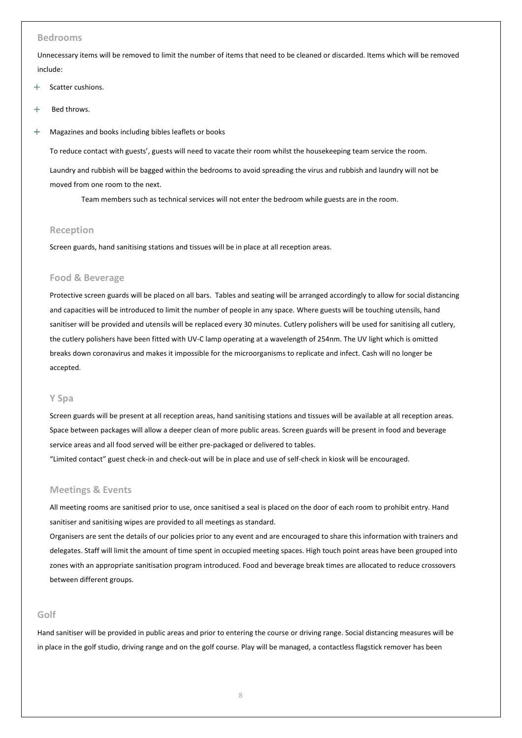#### **Bedrooms**

Unnecessary items will be removed to limit the number of items that need to be cleaned or discarded. Items which will be removed include:

- + Scatter cushions.
- + Bed throws.
- + Magazines and books including bibles leaflets or books

To reduce contact with guests', guests will need to vacate their room whilst the housekeeping team service the room. Laundry and rubbish will be bagged within the bedrooms to avoid spreading the virus and rubbish and laundry will not be moved from one room to the next.

Team members such as technical services will not enter the bedroom while guests are in the room.

#### **Reception**

Screen guards, hand sanitising stations and tissues will be in place at all reception areas.

#### **Food & Beverage**

Protective screen guards will be placed on all bars. Tables and seating will be arranged accordingly to allow for social distancing and capacities will be introduced to limit the number of people in any space. Where guests will be touching utensils, hand sanitiser will be provided and utensils will be replaced every 30 minutes. Cutlery polishers will be used for sanitising all cutlery, the cutlery polishers have been fitted with UV-C lamp operating at a wavelength of 254nm. The UV light which is omitted breaks down coronavirus and makes it impossible for the microorganisms to replicate and infect. Cash will no longer be accepted.

#### **Y Spa**

Screen guards will be present at all reception areas, hand sanitising stations and tissues will be available at all reception areas. Space between packages will allow a deeper clean of more public areas. Screen guards will be present in food and beverage service areas and all food served will be either pre-packaged or delivered to tables.

"Limited contact" guest check-in and check-out will be in place and use of self-check in kiosk will be encouraged.

#### **Meetings & Events**

All meeting rooms are sanitised prior to use, once sanitised a seal is placed on the door of each room to prohibit entry. Hand sanitiser and sanitising wipes are provided to all meetings as standard.

Organisers are sent the details of our policies prior to any event and are encouraged to share this information with trainers and delegates. Staff will limit the amount of time spent in occupied meeting spaces. High touch point areas have been grouped into zones with an appropriate sanitisation program introduced. Food and beverage break times are allocated to reduce crossovers between different groups.

#### **Golf**

Hand sanitiser will be provided in public areas and prior to entering the course or driving range. Social distancing measures will be in place in the golf studio, driving range and on the golf course. Play will be managed, a contactless flagstick remover has been